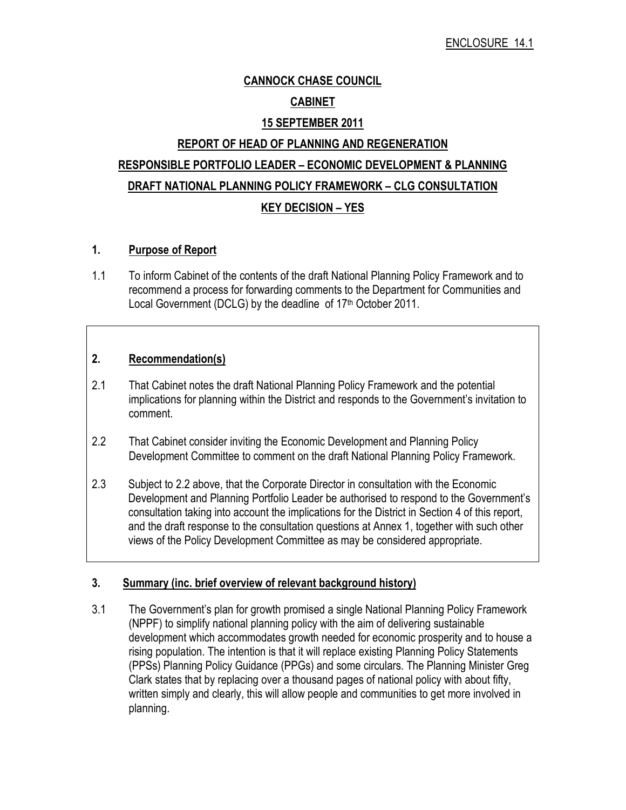# CANNOCK CHASE COUNCIL **CABINET**

### 15 SEPTEMBER 2011

# REPORT OF HEAD OF PLANNING AND REGENERATION RESPONSIBLE PORTFOLIO LEADER – ECONOMIC DEVELOPMENT & PLANNING DRAFT NATIONAL PLANNING POLICY FRAMEWORK – CLG CONSULTATION KEY DECISION – YES

### 1. Purpose of Report

1.1 To inform Cabinet of the contents of the draft National Planning Policy Framework and to recommend a process for forwarding comments to the Department for Communities and Local Government (DCLG) by the deadline of 17<sup>th</sup> October 2011.

### 2. Recommendation(s)

- 2.1 That Cabinet notes the draft National Planning Policy Framework and the potential implications for planning within the District and responds to the Government's invitation to comment.
- 2.2 That Cabinet consider inviting the Economic Development and Planning Policy Development Committee to comment on the draft National Planning Policy Framework.
- 2.3 Subject to 2.2 above, that the Corporate Director in consultation with the Economic Development and Planning Portfolio Leader be authorised to respond to the Government's consultation taking into account the implications for the District in Section 4 of this report, and the draft response to the consultation questions at Annex 1, together with such other views of the Policy Development Committee as may be considered appropriate.

## 3. Summary (inc. brief overview of relevant background history)

3.1 The Government's plan for growth promised a single National Planning Policy Framework (NPPF) to simplify national planning policy with the aim of delivering sustainable development which accommodates growth needed for economic prosperity and to house a rising population. The intention is that it will replace existing Planning Policy Statements (PPSs) Planning Policy Guidance (PPGs) and some circulars. The Planning Minister Greg Clark states that by replacing over a thousand pages of national policy with about fifty, written simply and clearly, this will allow people and communities to get more involved in planning.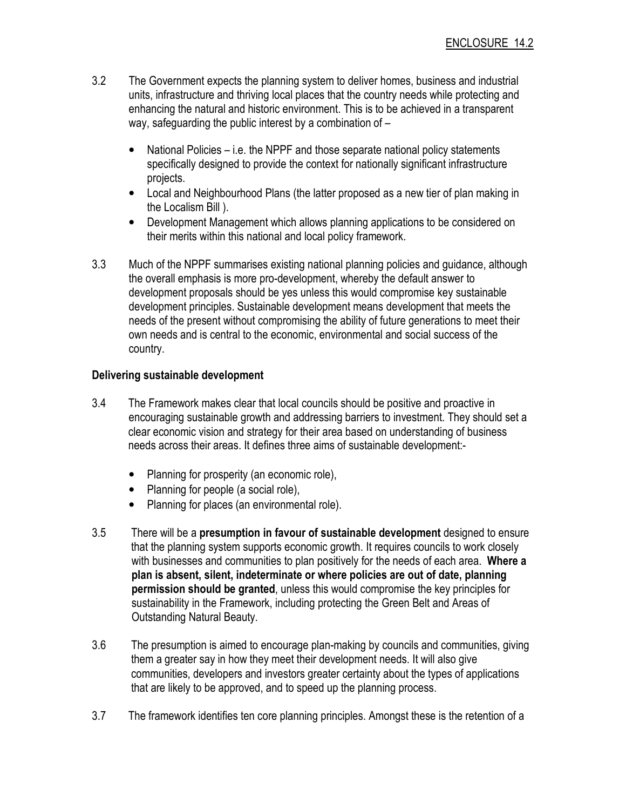- 3.2 The Government expects the planning system to deliver homes, business and industrial units, infrastructure and thriving local places that the country needs while protecting and enhancing the natural and historic environment. This is to be achieved in a transparent way, safeguarding the public interest by a combination of –
	- National Policies i.e. the NPPF and those separate national policy statements specifically designed to provide the context for nationally significant infrastructure projects.
	- Local and Neighbourhood Plans (the latter proposed as a new tier of plan making in the Localism Bill ).
	- Development Management which allows planning applications to be considered on their merits within this national and local policy framework.
- 3.3 Much of the NPPF summarises existing national planning policies and guidance, although the overall emphasis is more pro-development, whereby the default answer to development proposals should be yes unless this would compromise key sustainable development principles. Sustainable development means development that meets the needs of the present without compromising the ability of future generations to meet their own needs and is central to the economic, environmental and social success of the country.

# Delivering sustainable development

- 3.4 The Framework makes clear that local councils should be positive and proactive in encouraging sustainable growth and addressing barriers to investment. They should set a clear economic vision and strategy for their area based on understanding of business needs across their areas. It defines three aims of sustainable development:-
	- Planning for prosperity (an economic role),
	- Planning for people (a social role),
	- Planning for places (an environmental role).
- 3.5 There will be a presumption in favour of sustainable development designed to ensure that the planning system supports economic growth. It requires councils to work closely with businesses and communities to plan positively for the needs of each area. Where a plan is absent, silent, indeterminate or where policies are out of date, planning permission should be granted, unless this would compromise the key principles for sustainability in the Framework, including protecting the Green Belt and Areas of Outstanding Natural Beauty.
- 3.6 The presumption is aimed to encourage plan-making by councils and communities, giving them a greater say in how they meet their development needs. It will also give communities, developers and investors greater certainty about the types of applications that are likely to be approved, and to speed up the planning process.
- 3.7 The framework identifies ten core planning principles. Amongst these is the retention of a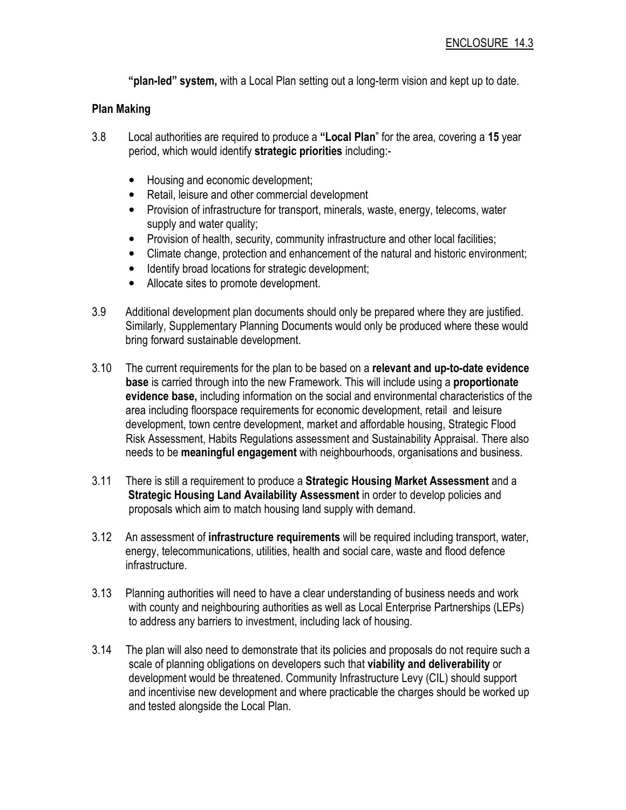"plan-led" system, with a Local Plan setting out a long-term vision and kept up to date.

# Plan Making

- 3.8 Local authorities are required to produce a "Local Plan" for the area, covering a 15 year period, which would identify strategic priorities including:-
	- Housing and economic development;
	- Retail, leisure and other commercial development
	- Provision of infrastructure for transport, minerals, waste, energy, telecoms, water supply and water quality;
	- Provision of health, security, community infrastructure and other local facilities;
	- Climate change, protection and enhancement of the natural and historic environment;
	- Identify broad locations for strategic development;
	- Allocate sites to promote development.
- 3.9 Additional development plan documents should only be prepared where they are justified. Similarly, Supplementary Planning Documents would only be produced where these would bring forward sustainable development.
- 3.10 The current requirements for the plan to be based on a relevant and up-to-date evidence base is carried through into the new Framework. This will include using a proportionate evidence base, including information on the social and environmental characteristics of the area including floorspace requirements for economic development, retail and leisure development, town centre development, market and affordable housing, Strategic Flood Risk Assessment, Habits Regulations assessment and Sustainability Appraisal. There also needs to be meaningful engagement with neighbourhoods, organisations and business.
- 3.11 There is still a requirement to produce a Strategic Housing Market Assessment and a Strategic Housing Land Availability Assessment in order to develop policies and proposals which aim to match housing land supply with demand.
- 3.12 An assessment of **infrastructure requirements** will be required including transport, water, energy, telecommunications, utilities, health and social care, waste and flood defence infrastructure.
- 3.13 Planning authorities will need to have a clear understanding of business needs and work with county and neighbouring authorities as well as Local Enterprise Partnerships (LEPs) to address any barriers to investment, including lack of housing.
- 3.14 The plan will also need to demonstrate that its policies and proposals do not require such a scale of planning obligations on developers such that viability and deliverability or development would be threatened. Community Infrastructure Levy (CIL) should support and incentivise new development and where practicable the charges should be worked up and tested alongside the Local Plan.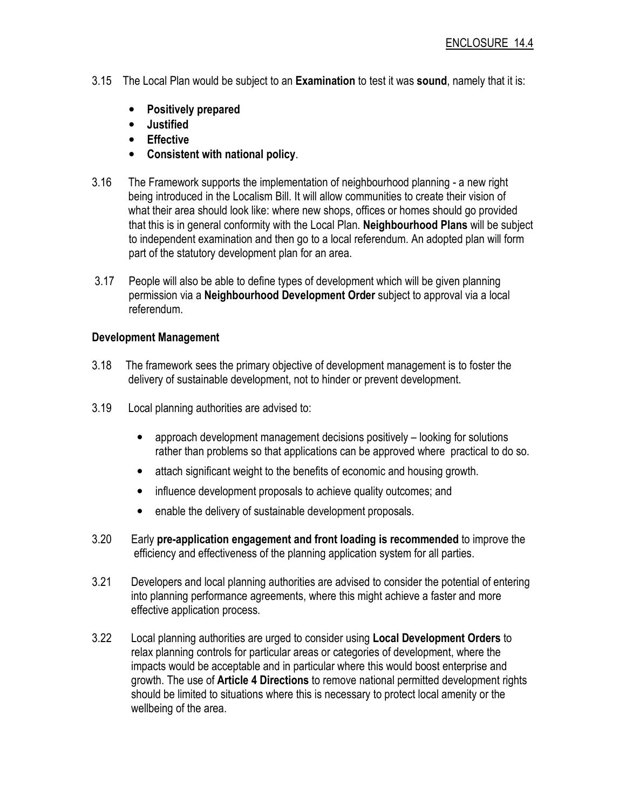- 3.15 The Local Plan would be subject to an **Examination** to test it was **sound**, namely that it is:
	- Positively prepared
	- Justified
	- Effective
	- Consistent with national policy.
- 3.16 The Framework supports the implementation of neighbourhood planning a new right being introduced in the Localism Bill. It will allow communities to create their vision of what their area should look like: where new shops, offices or homes should go provided that this is in general conformity with the Local Plan. Neighbourhood Plans will be subject to independent examination and then go to a local referendum. An adopted plan will form part of the statutory development plan for an area.
- 3.17 People will also be able to define types of development which will be given planning permission via a Neighbourhood Development Order subject to approval via a local referendum.

## Development Management

- 3.18 The framework sees the primary objective of development management is to foster the delivery of sustainable development, not to hinder or prevent development.
- 3.19 Local planning authorities are advised to:
	- approach development management decisions positively looking for solutions rather than problems so that applications can be approved where practical to do so.
	- attach significant weight to the benefits of economic and housing growth.
	- influence development proposals to achieve quality outcomes; and
	- enable the delivery of sustainable development proposals.
- 3.20 Early pre-application engagement and front loading is recommended to improve the efficiency and effectiveness of the planning application system for all parties.
- 3.21 Developers and local planning authorities are advised to consider the potential of entering into planning performance agreements, where this might achieve a faster and more effective application process.
- 3.22 Local planning authorities are urged to consider using Local Development Orders to relax planning controls for particular areas or categories of development, where the impacts would be acceptable and in particular where this would boost enterprise and growth. The use of **Article 4 Directions** to remove national permitted development rights should be limited to situations where this is necessary to protect local amenity or the wellbeing of the area.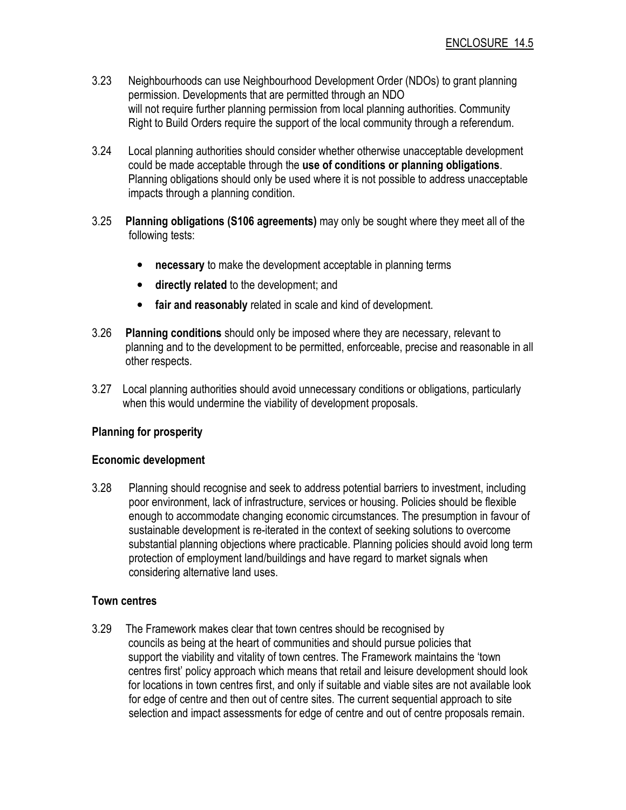- 3.23 Neighbourhoods can use Neighbourhood Development Order (NDOs) to grant planning permission. Developments that are permitted through an NDO will not require further planning permission from local planning authorities. Community Right to Build Orders require the support of the local community through a referendum.
- 3.24 Local planning authorities should consider whether otherwise unacceptable development could be made acceptable through the use of conditions or planning obligations. Planning obligations should only be used where it is not possible to address unacceptable impacts through a planning condition.
- 3.25 Planning obligations (S106 agreements) may only be sought where they meet all of the following tests:
	- necessary to make the development acceptable in planning terms
	- directly related to the development; and
	- fair and reasonably related in scale and kind of development.
- 3.26 Planning conditions should only be imposed where they are necessary, relevant to planning and to the development to be permitted, enforceable, precise and reasonable in all other respects.
- 3.27 Local planning authorities should avoid unnecessary conditions or obligations, particularly when this would undermine the viability of development proposals.

# Planning for prosperity

## Economic development

3.28 Planning should recognise and seek to address potential barriers to investment, including poor environment, lack of infrastructure, services or housing. Policies should be flexible enough to accommodate changing economic circumstances. The presumption in favour of sustainable development is re-iterated in the context of seeking solutions to overcome substantial planning objections where practicable. Planning policies should avoid long term protection of employment land/buildings and have regard to market signals when considering alternative land uses.

## Town centres

3.29 The Framework makes clear that town centres should be recognised by councils as being at the heart of communities and should pursue policies that support the viability and vitality of town centres. The Framework maintains the 'town centres first' policy approach which means that retail and leisure development should look for locations in town centres first, and only if suitable and viable sites are not available look for edge of centre and then out of centre sites. The current sequential approach to site selection and impact assessments for edge of centre and out of centre proposals remain.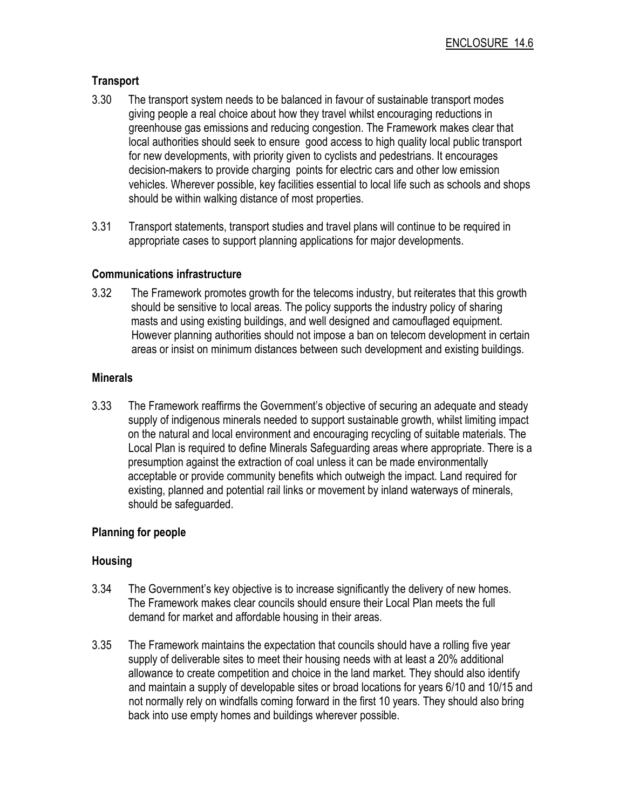# Transport

- 3.30 The transport system needs to be balanced in favour of sustainable transport modes giving people a real choice about how they travel whilst encouraging reductions in greenhouse gas emissions and reducing congestion. The Framework makes clear that local authorities should seek to ensure good access to high quality local public transport for new developments, with priority given to cyclists and pedestrians. It encourages decision-makers to provide charging points for electric cars and other low emission vehicles. Wherever possible, key facilities essential to local life such as schools and shops should be within walking distance of most properties.
- 3.31 Transport statements, transport studies and travel plans will continue to be required in appropriate cases to support planning applications for major developments.

## Communications infrastructure

3.32 The Framework promotes growth for the telecoms industry, but reiterates that this growth should be sensitive to local areas. The policy supports the industry policy of sharing masts and using existing buildings, and well designed and camouflaged equipment. However planning authorities should not impose a ban on telecom development in certain areas or insist on minimum distances between such development and existing buildings.

# **Minerals**

3.33 The Framework reaffirms the Government's objective of securing an adequate and steady supply of indigenous minerals needed to support sustainable growth, whilst limiting impact on the natural and local environment and encouraging recycling of suitable materials. The Local Plan is required to define Minerals Safeguarding areas where appropriate. There is a presumption against the extraction of coal unless it can be made environmentally acceptable or provide community benefits which outweigh the impact. Land required for existing, planned and potential rail links or movement by inland waterways of minerals, should be safeguarded.

# Planning for people

# Housing

- 3.34 The Government's key objective is to increase significantly the delivery of new homes. The Framework makes clear councils should ensure their Local Plan meets the full demand for market and affordable housing in their areas.
- 3.35 The Framework maintains the expectation that councils should have a rolling five year supply of deliverable sites to meet their housing needs with at least a 20% additional allowance to create competition and choice in the land market. They should also identify and maintain a supply of developable sites or broad locations for years 6/10 and 10/15 and not normally rely on windfalls coming forward in the first 10 years. They should also bring back into use empty homes and buildings wherever possible.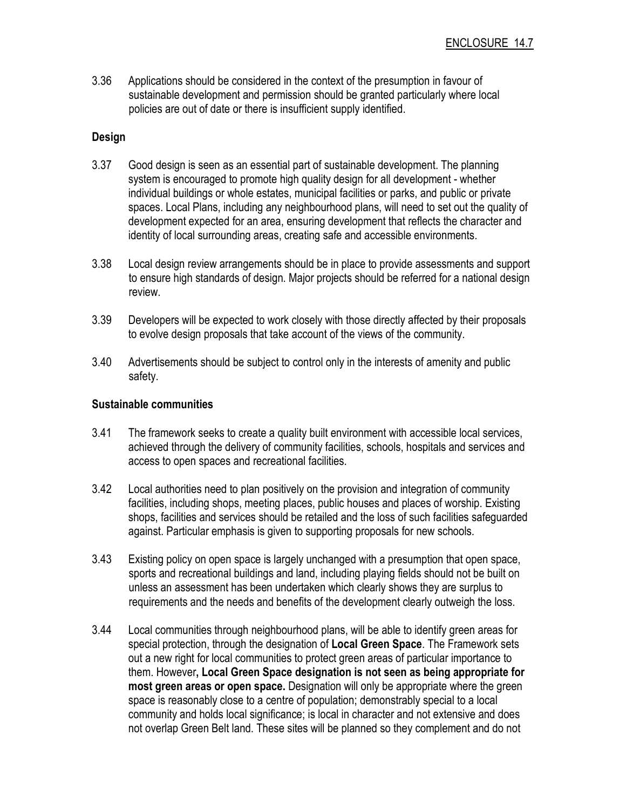3.36 Applications should be considered in the context of the presumption in favour of sustainable development and permission should be granted particularly where local policies are out of date or there is insufficient supply identified.

## Design

- 3.37 Good design is seen as an essential part of sustainable development. The planning system is encouraged to promote high quality design for all development - whether individual buildings or whole estates, municipal facilities or parks, and public or private spaces. Local Plans, including any neighbourhood plans, will need to set out the quality of development expected for an area, ensuring development that reflects the character and identity of local surrounding areas, creating safe and accessible environments.
- 3.38 Local design review arrangements should be in place to provide assessments and support to ensure high standards of design. Major projects should be referred for a national design review.
- 3.39 Developers will be expected to work closely with those directly affected by their proposals to evolve design proposals that take account of the views of the community.
- 3.40 Advertisements should be subject to control only in the interests of amenity and public safety.

## Sustainable communities

- 3.41 The framework seeks to create a quality built environment with accessible local services, achieved through the delivery of community facilities, schools, hospitals and services and access to open spaces and recreational facilities.
- 3.42 Local authorities need to plan positively on the provision and integration of community facilities, including shops, meeting places, public houses and places of worship. Existing shops, facilities and services should be retailed and the loss of such facilities safeguarded against. Particular emphasis is given to supporting proposals for new schools.
- 3.43 Existing policy on open space is largely unchanged with a presumption that open space, sports and recreational buildings and land, including playing fields should not be built on unless an assessment has been undertaken which clearly shows they are surplus to requirements and the needs and benefits of the development clearly outweigh the loss.
- 3.44 Local communities through neighbourhood plans, will be able to identify green areas for special protection, through the designation of Local Green Space. The Framework sets out a new right for local communities to protect green areas of particular importance to them. However, Local Green Space designation is not seen as being appropriate for most green areas or open space. Designation will only be appropriate where the green space is reasonably close to a centre of population; demonstrably special to a local community and holds local significance; is local in character and not extensive and does not overlap Green Belt land. These sites will be planned so they complement and do not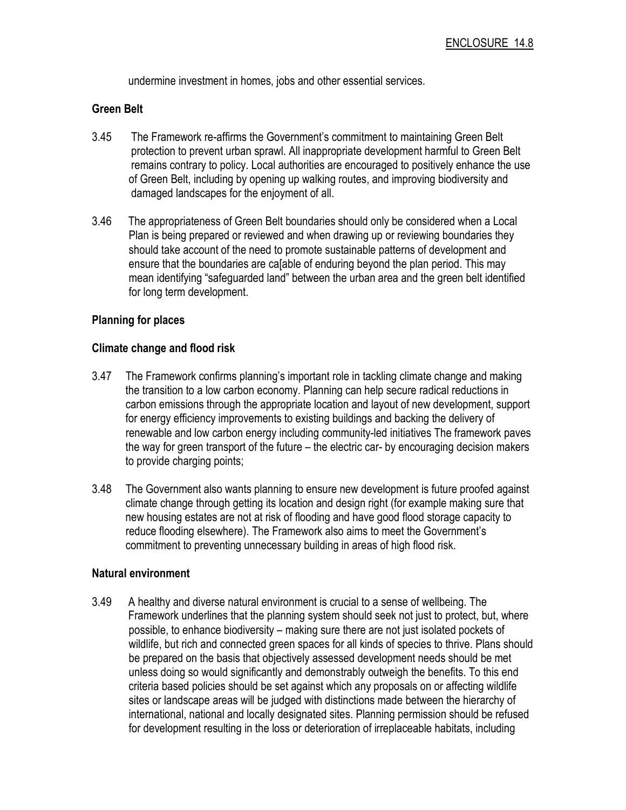undermine investment in homes, jobs and other essential services.

#### Green Belt

- 3.45 The Framework re-affirms the Government's commitment to maintaining Green Belt protection to prevent urban sprawl. All inappropriate development harmful to Green Belt remains contrary to policy. Local authorities are encouraged to positively enhance the use of Green Belt, including by opening up walking routes, and improving biodiversity and damaged landscapes for the enjoyment of all.
- 3.46 The appropriateness of Green Belt boundaries should only be considered when a Local Plan is being prepared or reviewed and when drawing up or reviewing boundaries they should take account of the need to promote sustainable patterns of development and ensure that the boundaries are ca[able of enduring beyond the plan period. This may mean identifying "safeguarded land" between the urban area and the green belt identified for long term development.

### Planning for places

#### Climate change and flood risk

- 3.47 The Framework confirms planning's important role in tackling climate change and making the transition to a low carbon economy. Planning can help secure radical reductions in carbon emissions through the appropriate location and layout of new development, support for energy efficiency improvements to existing buildings and backing the delivery of renewable and low carbon energy including community-led initiatives The framework paves the way for green transport of the future – the electric car- by encouraging decision makers to provide charging points;
- 3.48 The Government also wants planning to ensure new development is future proofed against climate change through getting its location and design right (for example making sure that new housing estates are not at risk of flooding and have good flood storage capacity to reduce flooding elsewhere). The Framework also aims to meet the Government's commitment to preventing unnecessary building in areas of high flood risk.

#### Natural environment

3.49 A healthy and diverse natural environment is crucial to a sense of wellbeing. The Framework underlines that the planning system should seek not just to protect, but, where possible, to enhance biodiversity – making sure there are not just isolated pockets of wildlife, but rich and connected green spaces for all kinds of species to thrive. Plans should be prepared on the basis that objectively assessed development needs should be met unless doing so would significantly and demonstrably outweigh the benefits. To this end criteria based policies should be set against which any proposals on or affecting wildlife sites or landscape areas will be judged with distinctions made between the hierarchy of international, national and locally designated sites. Planning permission should be refused for development resulting in the loss or deterioration of irreplaceable habitats, including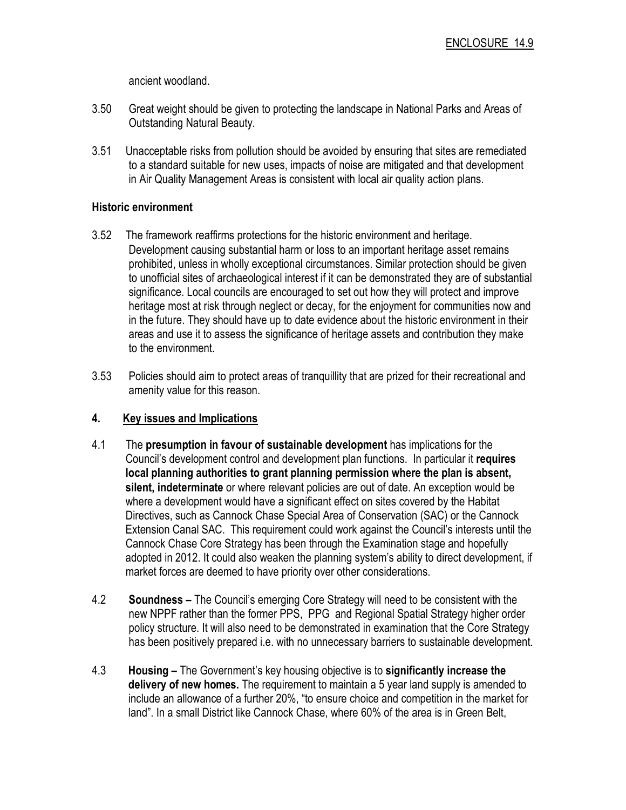ancient woodland.

- 3.50 Great weight should be given to protecting the landscape in National Parks and Areas of Outstanding Natural Beauty.
- 3.51 Unacceptable risks from pollution should be avoided by ensuring that sites are remediated to a standard suitable for new uses, impacts of noise are mitigated and that development in Air Quality Management Areas is consistent with local air quality action plans.

## Historic environment

- 3.52 The framework reaffirms protections for the historic environment and heritage. Development causing substantial harm or loss to an important heritage asset remains prohibited, unless in wholly exceptional circumstances. Similar protection should be given to unofficial sites of archaeological interest if it can be demonstrated they are of substantial significance. Local councils are encouraged to set out how they will protect and improve heritage most at risk through neglect or decay, for the enjoyment for communities now and in the future. They should have up to date evidence about the historic environment in their areas and use it to assess the significance of heritage assets and contribution they make to the environment.
- 3.53 Policies should aim to protect areas of tranquillity that are prized for their recreational and amenity value for this reason.

## 4. Key issues and Implications

- 4.1 The presumption in favour of sustainable development has implications for the Council's development control and development plan functions. In particular it requires local planning authorities to grant planning permission where the plan is absent, silent, indeterminate or where relevant policies are out of date. An exception would be where a development would have a significant effect on sites covered by the Habitat Directives, such as Cannock Chase Special Area of Conservation (SAC) or the Cannock Extension Canal SAC. This requirement could work against the Council's interests until the Cannock Chase Core Strategy has been through the Examination stage and hopefully adopted in 2012. It could also weaken the planning system's ability to direct development, if market forces are deemed to have priority over other considerations.
- 4.2 Soundness The Council's emerging Core Strategy will need to be consistent with the new NPPF rather than the former PPS, PPG and Regional Spatial Strategy higher order policy structure. It will also need to be demonstrated in examination that the Core Strategy has been positively prepared i.e. with no unnecessary barriers to sustainable development.
- 4.3 Housing The Government's key housing objective is to significantly increase the delivery of new homes. The requirement to maintain a 5 year land supply is amended to include an allowance of a further 20%, "to ensure choice and competition in the market for land". In a small District like Cannock Chase, where 60% of the area is in Green Belt,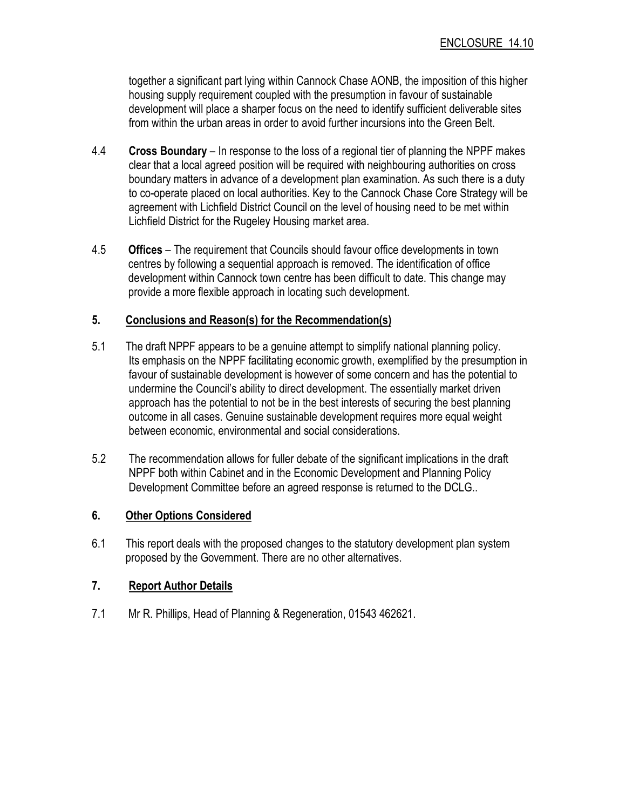together a significant part lying within Cannock Chase AONB, the imposition of this higher housing supply requirement coupled with the presumption in favour of sustainable development will place a sharper focus on the need to identify sufficient deliverable sites from within the urban areas in order to avoid further incursions into the Green Belt.

- 4.4 Cross Boundary In response to the loss of a regional tier of planning the NPPF makes clear that a local agreed position will be required with neighbouring authorities on cross boundary matters in advance of a development plan examination. As such there is a duty to co-operate placed on local authorities. Key to the Cannock Chase Core Strategy will be agreement with Lichfield District Council on the level of housing need to be met within Lichfield District for the Rugeley Housing market area.
- 4.5 Offices The requirement that Councils should favour office developments in town centres by following a sequential approach is removed. The identification of office development within Cannock town centre has been difficult to date. This change may provide a more flexible approach in locating such development.

### 5. Conclusions and Reason(s) for the Recommendation(s)

- 5.1 The draft NPPF appears to be a genuine attempt to simplify national planning policy. Its emphasis on the NPPF facilitating economic growth, exemplified by the presumption in favour of sustainable development is however of some concern and has the potential to undermine the Council's ability to direct development. The essentially market driven approach has the potential to not be in the best interests of securing the best planning outcome in all cases. Genuine sustainable development requires more equal weight between economic, environmental and social considerations.
- 5.2 The recommendation allows for fuller debate of the significant implications in the draft NPPF both within Cabinet and in the Economic Development and Planning Policy Development Committee before an agreed response is returned to the DCLG..

## 6. Other Options Considered

6.1 This report deals with the proposed changes to the statutory development plan system proposed by the Government. There are no other alternatives.

## 7. Report Author Details

7.1 Mr R. Phillips, Head of Planning & Regeneration, 01543 462621.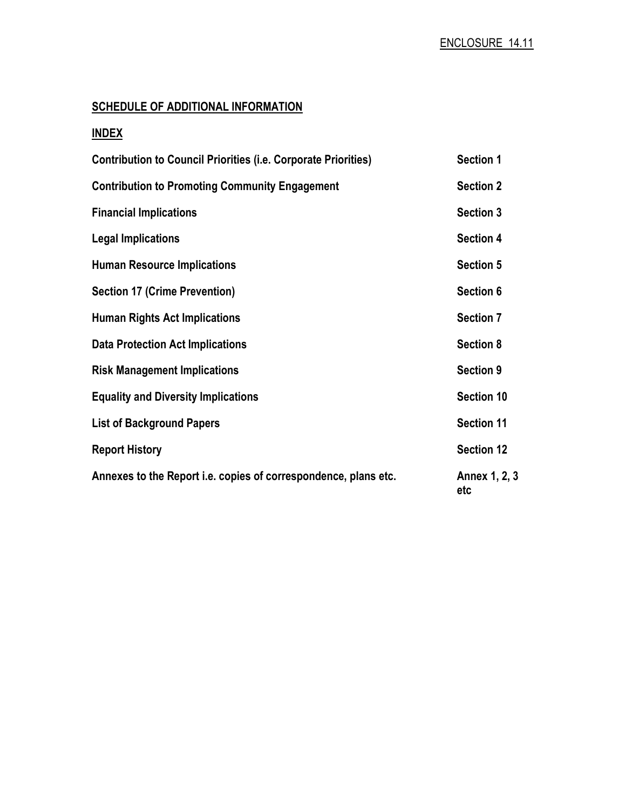# SCHEDULE OF ADDITIONAL INFORMATION

# INDEX

| <b>Contribution to Council Priorities (i.e. Corporate Priorities)</b> | <b>Section 1</b>     |
|-----------------------------------------------------------------------|----------------------|
| <b>Contribution to Promoting Community Engagement</b>                 | <b>Section 2</b>     |
| <b>Financial Implications</b>                                         | <b>Section 3</b>     |
| <b>Legal Implications</b>                                             | <b>Section 4</b>     |
| <b>Human Resource Implications</b>                                    | <b>Section 5</b>     |
| <b>Section 17 (Crime Prevention)</b>                                  | Section 6            |
| <b>Human Rights Act Implications</b>                                  | <b>Section 7</b>     |
| <b>Data Protection Act Implications</b>                               | <b>Section 8</b>     |
| <b>Risk Management Implications</b>                                   | <b>Section 9</b>     |
| <b>Equality and Diversity Implications</b>                            | <b>Section 10</b>    |
| <b>List of Background Papers</b>                                      | Section 11           |
| <b>Report History</b>                                                 | <b>Section 12</b>    |
| Annexes to the Report i.e. copies of correspondence, plans etc.       | Annex 1, 2, 3<br>etc |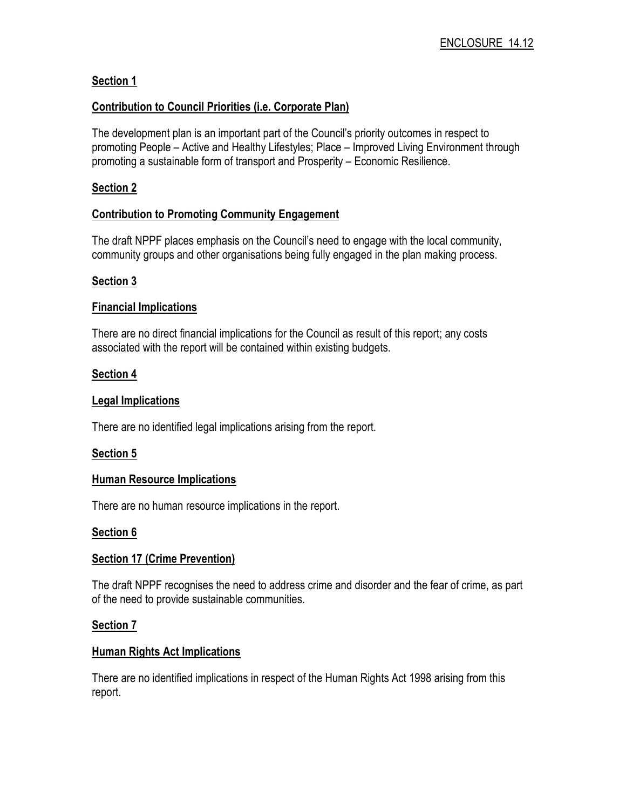# Section 1

## Contribution to Council Priorities (i.e. Corporate Plan)

The development plan is an important part of the Council's priority outcomes in respect to promoting People – Active and Healthy Lifestyles; Place – Improved Living Environment through promoting a sustainable form of transport and Prosperity – Economic Resilience.

# Section 2

## Contribution to Promoting Community Engagement

The draft NPPF places emphasis on the Council's need to engage with the local community, community groups and other organisations being fully engaged in the plan making process.

### Section 3

### Financial Implications

There are no direct financial implications for the Council as result of this report; any costs associated with the report will be contained within existing budgets.

### Section 4

## Legal Implications

There are no identified legal implications arising from the report.

## Section 5

#### Human Resource Implications

There are no human resource implications in the report.

## Section 6

## **Section 17 (Crime Prevention)**

The draft NPPF recognises the need to address crime and disorder and the fear of crime, as part of the need to provide sustainable communities.

#### Section 7

## Human Rights Act Implications

There are no identified implications in respect of the Human Rights Act 1998 arising from this report.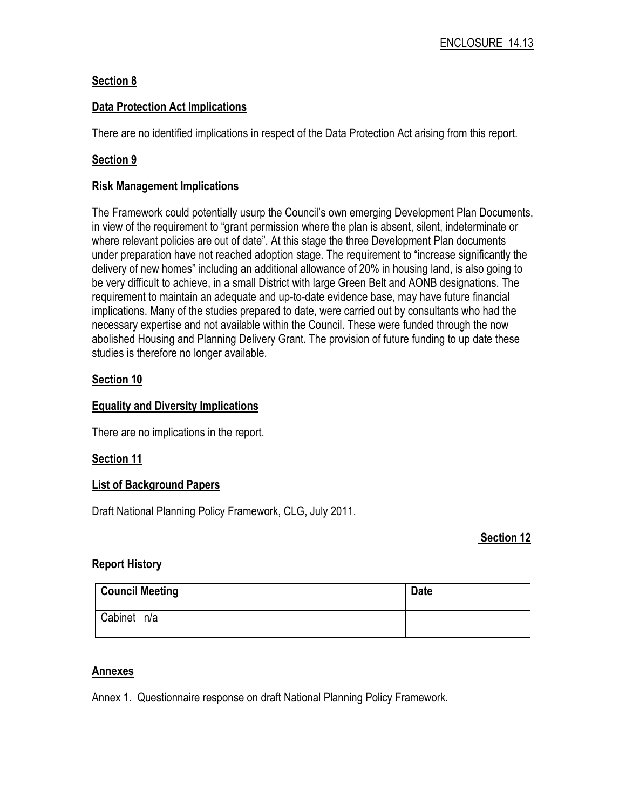# Section 8

## Data Protection Act Implications

There are no identified implications in respect of the Data Protection Act arising from this report.

## Section 9

#### Risk Management Implications

The Framework could potentially usurp the Council's own emerging Development Plan Documents, in view of the requirement to "grant permission where the plan is absent, silent, indeterminate or where relevant policies are out of date". At this stage the three Development Plan documents under preparation have not reached adoption stage. The requirement to "increase significantly the delivery of new homes" including an additional allowance of 20% in housing land, is also going to be very difficult to achieve, in a small District with large Green Belt and AONB designations. The requirement to maintain an adequate and up-to-date evidence base, may have future financial implications. Many of the studies prepared to date, were carried out by consultants who had the necessary expertise and not available within the Council. These were funded through the now abolished Housing and Planning Delivery Grant. The provision of future funding to up date these studies is therefore no longer available.

# Section 10

## Equality and Diversity Implications

There are no implications in the report.

## Section 11

## List of Background Papers

Draft National Planning Policy Framework, CLG, July 2011.

#### Section 12

## Report History

| <b>Council Meeting</b> | <b>Date</b> |
|------------------------|-------------|
| Cabinet n/a            |             |

#### **Annexes**

Annex 1. Questionnaire response on draft National Planning Policy Framework.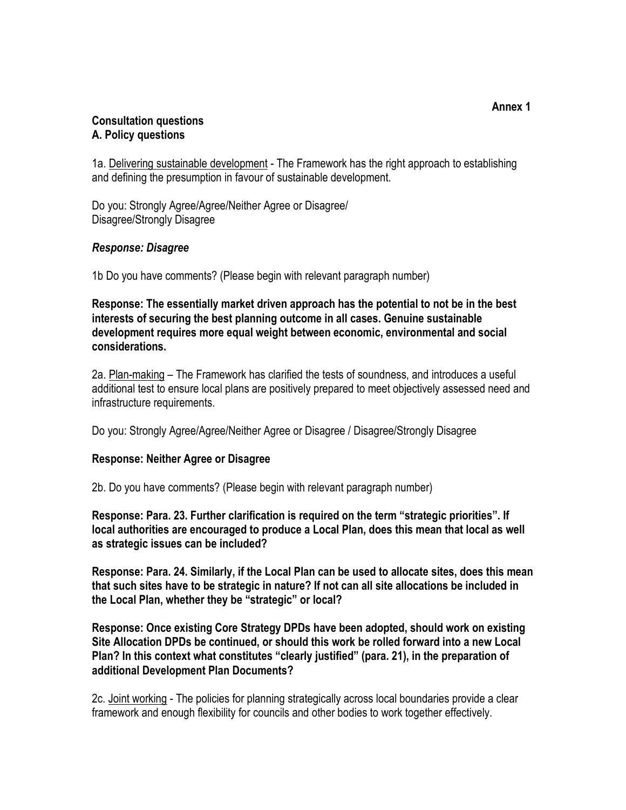## Consultation questions A. Policy questions

1a. Delivering sustainable development - The Framework has the right approach to establishing and defining the presumption in favour of sustainable development.

Do you: Strongly Agree/Agree/Neither Agree or Disagree/ Disagree/Strongly Disagree

# Response: Disagree

1b Do you have comments? (Please begin with relevant paragraph number)

Response: The essentially market driven approach has the potential to not be in the best interests of securing the best planning outcome in all cases. Genuine sustainable development requires more equal weight between economic, environmental and social considerations.

2a. Plan-making – The Framework has clarified the tests of soundness, and introduces a useful additional test to ensure local plans are positively prepared to meet objectively assessed need and infrastructure requirements.

Do you: Strongly Agree/Agree/Neither Agree or Disagree / Disagree/Strongly Disagree

## Response: Neither Agree or Disagree

2b. Do you have comments? (Please begin with relevant paragraph number)

Response: Para. 23. Further clarification is required on the term "strategic priorities". If local authorities are encouraged to produce a Local Plan, does this mean that local as well as strategic issues can be included?

Response: Para. 24. Similarly, if the Local Plan can be used to allocate sites, does this mean that such sites have to be strategic in nature? If not can all site allocations be included in the Local Plan, whether they be "strategic" or local?

Response: Once existing Core Strategy DPDs have been adopted, should work on existing Site Allocation DPDs be continued, or should this work be rolled forward into a new Local Plan? In this context what constitutes "clearly justified" (para. 21), in the preparation of additional Development Plan Documents?

2c. Joint working - The policies for planning strategically across local boundaries provide a clear framework and enough flexibility for councils and other bodies to work together effectively.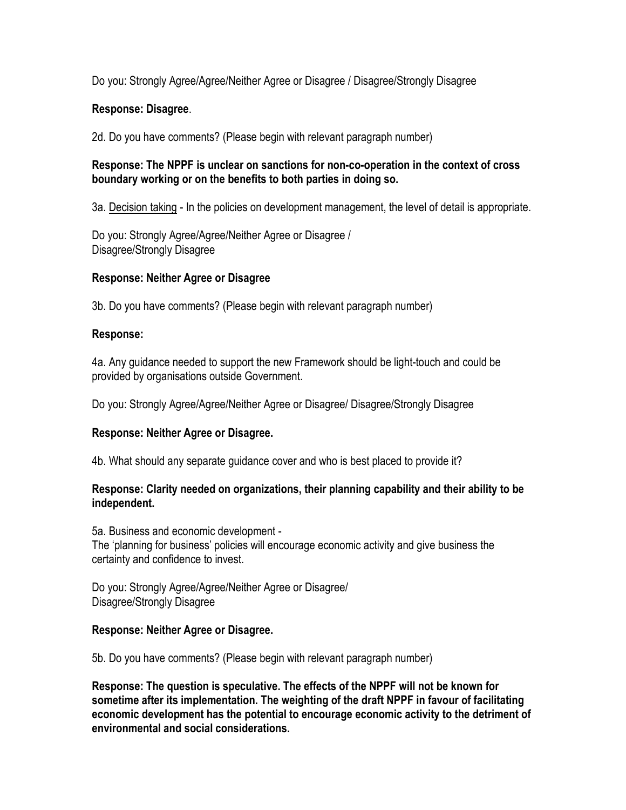Do you: Strongly Agree/Agree/Neither Agree or Disagree / Disagree/Strongly Disagree

# Response: Disagree.

2d. Do you have comments? (Please begin with relevant paragraph number)

## Response: The NPPF is unclear on sanctions for non-co-operation in the context of cross boundary working or on the benefits to both parties in doing so.

3a. Decision taking - In the policies on development management, the level of detail is appropriate.

Do you: Strongly Agree/Agree/Neither Agree or Disagree / Disagree/Strongly Disagree

# Response: Neither Agree or Disagree

3b. Do you have comments? (Please begin with relevant paragraph number)

# Response:

4a. Any guidance needed to support the new Framework should be light-touch and could be provided by organisations outside Government.

Do you: Strongly Agree/Agree/Neither Agree or Disagree/ Disagree/Strongly Disagree

# Response: Neither Agree or Disagree.

4b. What should any separate guidance cover and who is best placed to provide it?

## Response: Clarity needed on organizations, their planning capability and their ability to be independent.

5a. Business and economic development - The 'planning for business' policies will encourage economic activity and give business the certainty and confidence to invest.

Do you: Strongly Agree/Agree/Neither Agree or Disagree/ Disagree/Strongly Disagree

## Response: Neither Agree or Disagree.

5b. Do you have comments? (Please begin with relevant paragraph number)

Response: The question is speculative. The effects of the NPPF will not be known for sometime after its implementation. The weighting of the draft NPPF in favour of facilitating economic development has the potential to encourage economic activity to the detriment of environmental and social considerations.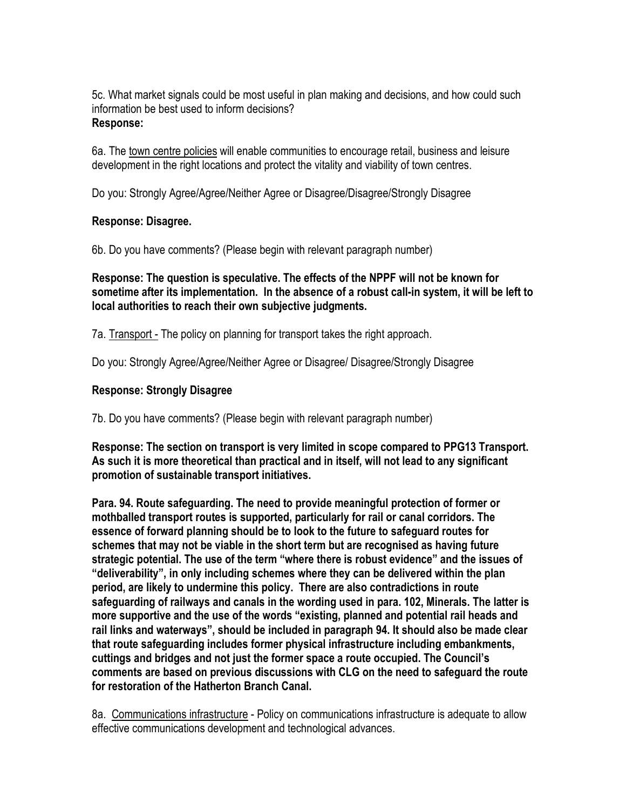5c. What market signals could be most useful in plan making and decisions, and how could such information be best used to inform decisions? Response:

6a. The town centre policies will enable communities to encourage retail, business and leisure development in the right locations and protect the vitality and viability of town centres.

Do you: Strongly Agree/Agree/Neither Agree or Disagree/Disagree/Strongly Disagree

## Response: Disagree.

6b. Do you have comments? (Please begin with relevant paragraph number)

Response: The question is speculative. The effects of the NPPF will not be known for sometime after its implementation. In the absence of a robust call-in system, it will be left to local authorities to reach their own subjective judgments.

7a. Transport - The policy on planning for transport takes the right approach.

Do you: Strongly Agree/Agree/Neither Agree or Disagree/ Disagree/Strongly Disagree

# Response: Strongly Disagree

7b. Do you have comments? (Please begin with relevant paragraph number)

Response: The section on transport is very limited in scope compared to PPG13 Transport. As such it is more theoretical than practical and in itself, will not lead to any significant promotion of sustainable transport initiatives.

Para. 94. Route safeguarding. The need to provide meaningful protection of former or mothballed transport routes is supported, particularly for rail or canal corridors. The essence of forward planning should be to look to the future to safeguard routes for schemes that may not be viable in the short term but are recognised as having future strategic potential. The use of the term "where there is robust evidence" and the issues of "deliverability", in only including schemes where they can be delivered within the plan period, are likely to undermine this policy. There are also contradictions in route safeguarding of railways and canals in the wording used in para. 102, Minerals. The latter is more supportive and the use of the words "existing, planned and potential rail heads and rail links and waterways", should be included in paragraph 94. It should also be made clear that route safeguarding includes former physical infrastructure including embankments, cuttings and bridges and not just the former space a route occupied. The Council's comments are based on previous discussions with CLG on the need to safeguard the route for restoration of the Hatherton Branch Canal.

8a. Communications infrastructure - Policy on communications infrastructure is adequate to allow effective communications development and technological advances.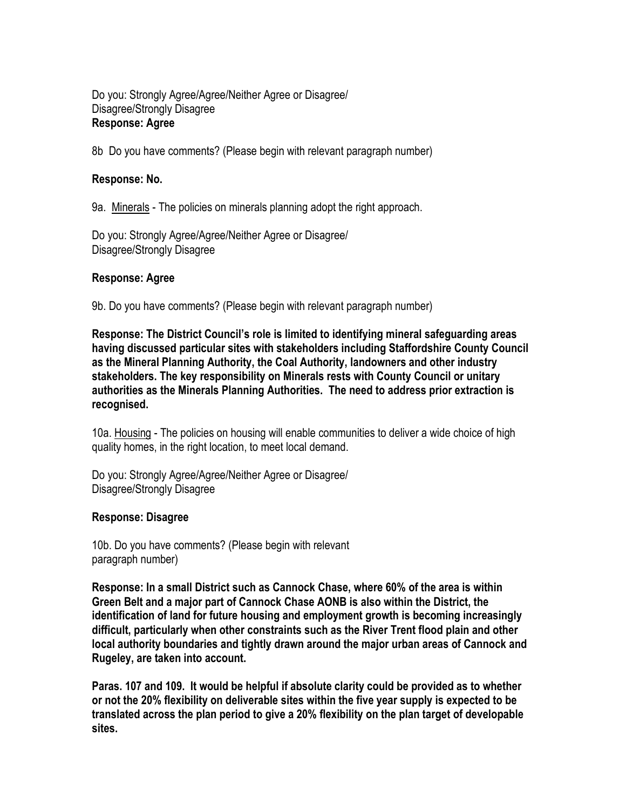## Do you: Strongly Agree/Agree/Neither Agree or Disagree/ Disagree/Strongly Disagree Response: Agree

8b Do you have comments? (Please begin with relevant paragraph number)

### Response: No.

9a. Minerals - The policies on minerals planning adopt the right approach.

Do you: Strongly Agree/Agree/Neither Agree or Disagree/ Disagree/Strongly Disagree

### Response: Agree

9b. Do you have comments? (Please begin with relevant paragraph number)

Response: The District Council's role is limited to identifying mineral safeguarding areas having discussed particular sites with stakeholders including Staffordshire County Council as the Mineral Planning Authority, the Coal Authority, landowners and other industry stakeholders. The key responsibility on Minerals rests with County Council or unitary authorities as the Minerals Planning Authorities. The need to address prior extraction is recognised.

10a. Housing - The policies on housing will enable communities to deliver a wide choice of high quality homes, in the right location, to meet local demand.

Do you: Strongly Agree/Agree/Neither Agree or Disagree/ Disagree/Strongly Disagree

#### Response: Disagree

10b. Do you have comments? (Please begin with relevant paragraph number)

Response: In a small District such as Cannock Chase, where 60% of the area is within Green Belt and a major part of Cannock Chase AONB is also within the District, the identification of land for future housing and employment growth is becoming increasingly difficult, particularly when other constraints such as the River Trent flood plain and other local authority boundaries and tightly drawn around the major urban areas of Cannock and Rugeley, are taken into account.

Paras. 107 and 109. It would be helpful if absolute clarity could be provided as to whether or not the 20% flexibility on deliverable sites within the five year supply is expected to be translated across the plan period to give a 20% flexibility on the plan target of developable sites.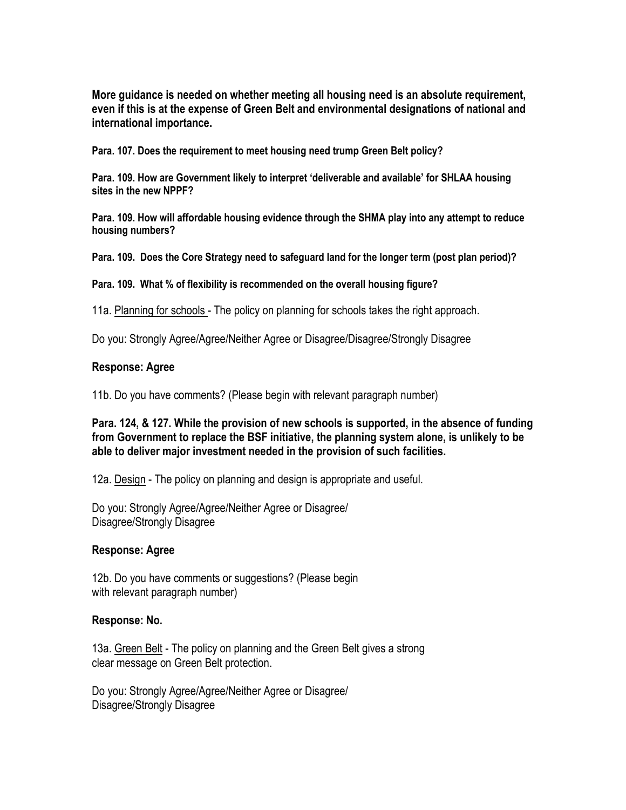More guidance is needed on whether meeting all housing need is an absolute requirement, even if this is at the expense of Green Belt and environmental designations of national and international importance.

Para. 107. Does the requirement to meet housing need trump Green Belt policy?

Para. 109. How are Government likely to interpret 'deliverable and available' for SHLAA housing sites in the new NPPF?

Para. 109. How will affordable housing evidence through the SHMA play into any attempt to reduce housing numbers?

Para. 109. Does the Core Strategy need to safeguard land for the longer term (post plan period)?

Para. 109. What % of flexibility is recommended on the overall housing figure?

11a. Planning for schools - The policy on planning for schools takes the right approach.

Do you: Strongly Agree/Agree/Neither Agree or Disagree/Disagree/Strongly Disagree

#### Response: Agree

11b. Do you have comments? (Please begin with relevant paragraph number)

Para. 124, & 127. While the provision of new schools is supported, in the absence of funding from Government to replace the BSF initiative, the planning system alone, is unlikely to be able to deliver major investment needed in the provision of such facilities.

12a. Design - The policy on planning and design is appropriate and useful.

Do you: Strongly Agree/Agree/Neither Agree or Disagree/ Disagree/Strongly Disagree

#### Response: Agree

12b. Do you have comments or suggestions? (Please begin with relevant paragraph number)

#### Response: No.

13a. Green Belt - The policy on planning and the Green Belt gives a strong clear message on Green Belt protection.

Do you: Strongly Agree/Agree/Neither Agree or Disagree/ Disagree/Strongly Disagree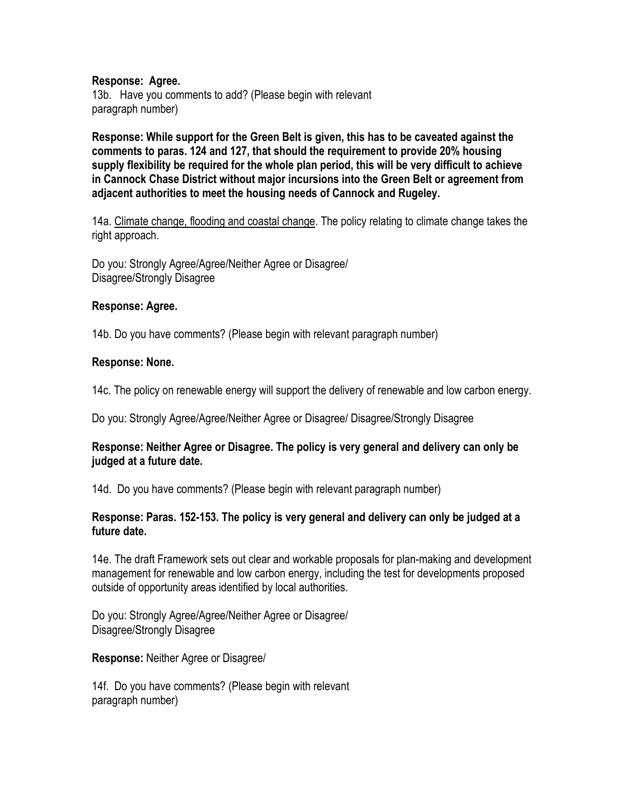#### Response: Agree.

13b. Have you comments to add? (Please begin with relevant paragraph number)

Response: While support for the Green Belt is given, this has to be caveated against the comments to paras. 124 and 127, that should the requirement to provide 20% housing supply flexibility be required for the whole plan period, this will be very difficult to achieve in Cannock Chase District without major incursions into the Green Belt or agreement from adjacent authorities to meet the housing needs of Cannock and Rugeley.

14a. Climate change, flooding and coastal change. The policy relating to climate change takes the right approach.

Do you: Strongly Agree/Agree/Neither Agree or Disagree/ Disagree/Strongly Disagree

#### Response: Agree.

14b. Do you have comments? (Please begin with relevant paragraph number)

#### Response: None.

14c. The policy on renewable energy will support the delivery of renewable and low carbon energy.

Do you: Strongly Agree/Agree/Neither Agree or Disagree/ Disagree/Strongly Disagree

### Response: Neither Agree or Disagree. The policy is very general and delivery can only be judged at a future date.

14d. Do you have comments? (Please begin with relevant paragraph number)

### Response: Paras. 152-153. The policy is very general and delivery can only be judged at a future date.

14e. The draft Framework sets out clear and workable proposals for plan-making and development management for renewable and low carbon energy, including the test for developments proposed outside of opportunity areas identified by local authorities.

Do you: Strongly Agree/Agree/Neither Agree or Disagree/ Disagree/Strongly Disagree

Response: Neither Agree or Disagree/

14f. Do you have comments? (Please begin with relevant paragraph number)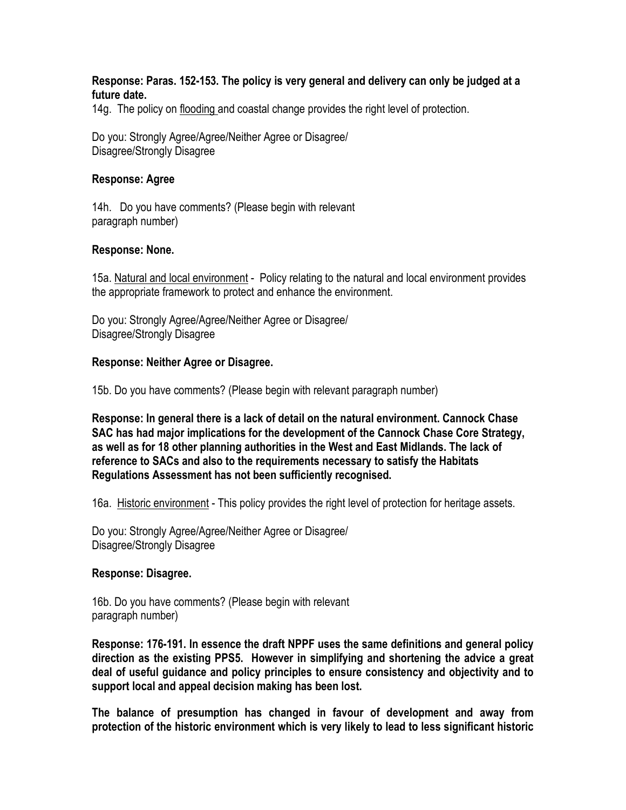#### Response: Paras. 152-153. The policy is very general and delivery can only be judged at a future date.

14g. The policy on flooding and coastal change provides the right level of protection.

Do you: Strongly Agree/Agree/Neither Agree or Disagree/ Disagree/Strongly Disagree

#### Response: Agree

14h. Do you have comments? (Please begin with relevant paragraph number)

#### Response: None.

15a. Natural and local environment - Policy relating to the natural and local environment provides the appropriate framework to protect and enhance the environment.

Do you: Strongly Agree/Agree/Neither Agree or Disagree/ Disagree/Strongly Disagree

#### Response: Neither Agree or Disagree.

15b. Do you have comments? (Please begin with relevant paragraph number)

Response: In general there is a lack of detail on the natural environment. Cannock Chase SAC has had major implications for the development of the Cannock Chase Core Strategy, as well as for 18 other planning authorities in the West and East Midlands. The lack of reference to SACs and also to the requirements necessary to satisfy the Habitats Regulations Assessment has not been sufficiently recognised.

16a. Historic environment - This policy provides the right level of protection for heritage assets.

Do you: Strongly Agree/Agree/Neither Agree or Disagree/ Disagree/Strongly Disagree

#### Response: Disagree.

16b. Do you have comments? (Please begin with relevant paragraph number)

Response: 176-191. In essence the draft NPPF uses the same definitions and general policy direction as the existing PPS5. However in simplifying and shortening the advice a great deal of useful guidance and policy principles to ensure consistency and objectivity and to support local and appeal decision making has been lost.

The balance of presumption has changed in favour of development and away from protection of the historic environment which is very likely to lead to less significant historic